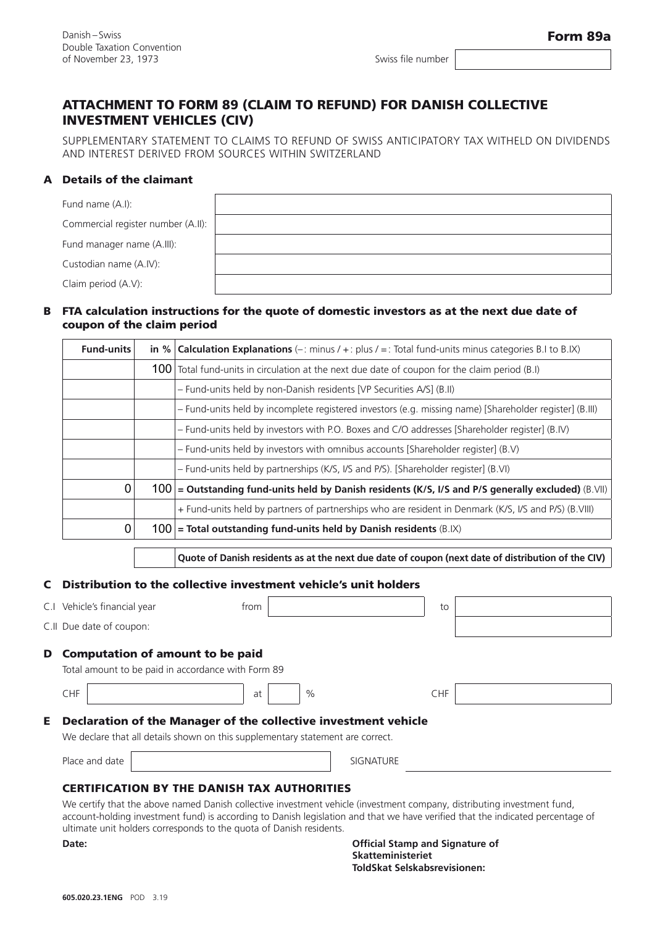Swiss file number

# ATTACHMENT TO FORM 89 (CLAIM TO REFUND) FOR DANISH COLLECTIVE INVESTMENT VEHICLES (CIV)

SUPPLEMENTARY STATEMENT TO CLAIMS TO REFUND OF SWISS ANTICIPATORY TAX WITHELD ON DIVIDENDS AND INTEREST DERIVED FROM SOURCES WITHIN SWITZERLAND

## A Details of the claimant

| Fund name (A.I):                   |
|------------------------------------|
| Commercial register number (A.II): |
| Fund manager name (A.III):         |
| Custodian name (A.IV):             |
| Claim period (A.V):                |

### FTA calculation instructions for the quote of domestic investors as at the next due date of B coupon of the claim period

| <b>Fund-units</b> |     | in % <b>Calculation Explanations</b> (-: minus $/ +$ : plus $/ =$ : Total fund-units minus categories B.I to B.IX) |
|-------------------|-----|--------------------------------------------------------------------------------------------------------------------|
|                   |     | 100 Total fund-units in circulation at the next due date of coupon for the claim period (B.I)                      |
|                   |     | - Fund-units held by non-Danish residents [VP Securities A/S] (B.II)                                               |
|                   |     | - Fund-units held by incomplete registered investors (e.g. missing name) [Shareholder register] (B.III)            |
|                   |     | - Fund-units held by investors with P.O. Boxes and C/O addresses [Shareholder register] (B.IV)                     |
|                   |     | - Fund-units held by investors with omnibus accounts [Shareholder register] (B.V)                                  |
|                   |     | - Fund-units held by partnerships (K/S, I/S and P/S). [Shareholder register] (B.VI)                                |
| $\mathbf 0$       |     | $100$ = Outstanding fund-units held by Danish residents (K/S, I/S and P/S generally excluded) (B.VII)              |
|                   |     | + Fund-units held by partners of partnerships who are resident in Denmark (K/S, I/S and P/S) (B.VIII)              |
| $\mathbf 0$       | 100 | $=$ Total outstanding fund-units held by Danish residents (B.IX)                                                   |

**Quote of Danish residents as at the next due date of coupon (next date of distribution of the CIV)**

## Distribution to the collective investment vehicle's unit holders C

|    | C.I Vehicle's financial year                                                                                                                      | trom |      |                  | to         |  |  |  |  |  |
|----|---------------------------------------------------------------------------------------------------------------------------------------------------|------|------|------------------|------------|--|--|--|--|--|
|    | C.II Due date of coupon:                                                                                                                          |      |      |                  |            |  |  |  |  |  |
| D  | <b>Computation of amount to be paid</b><br>Total amount to be paid in accordance with Form 89                                                     |      |      |                  |            |  |  |  |  |  |
|    | <b>CHF</b>                                                                                                                                        | at   | $\%$ |                  | <b>CHF</b> |  |  |  |  |  |
| Е. | Declaration of the Manager of the collective investment vehicle<br>We declare that all details shown on this supplementary statement are correct. |      |      |                  |            |  |  |  |  |  |
|    | Place and date                                                                                                                                    |      |      | <b>SIGNATURE</b> |            |  |  |  |  |  |
|    | CERTIFICATION BY THE DANICH TAY AUTHORITIES                                                                                                       |      |      |                  |            |  |  |  |  |  |

## ATION BY THE DANISH TAX AUTHORITIE

We certify that the above named Danish collective investment vehicle (investment company, distributing investment fund, account-holding investment fund) is according to Danish legislation and that we have verified that the indicated percentage of ultimate unit holders corresponds to the quota of Danish residents.

**Date: Official Stamp and Signature of Skatteministeriet ToldSkat Selskabsrevisionen:**